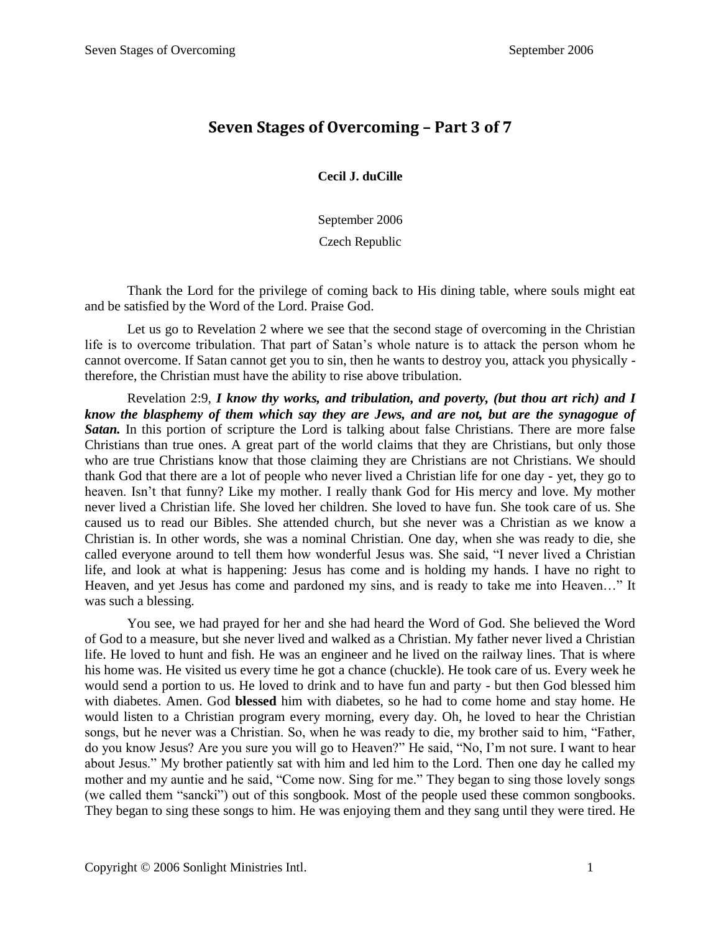## **Seven Stages of Overcoming – Part 3 of 7**

**Cecil J. duCille**

September 2006

Czech Republic

Thank the Lord for the privilege of coming back to His dining table, where souls might eat and be satisfied by the Word of the Lord. Praise God.

Let us go to Revelation 2 where we see that the second stage of overcoming in the Christian life is to overcome tribulation. That part of Satan's whole nature is to attack the person whom he cannot overcome. If Satan cannot get you to sin, then he wants to destroy you, attack you physically therefore, the Christian must have the ability to rise above tribulation.

Revelation 2:9, *I know thy works, and tribulation, and poverty, (but thou art rich) and I know the blasphemy of them which say they are Jews, and are not, but are the synagogue of*  **Satan.** In this portion of scripture the Lord is talking about false Christians. There are more false Christians than true ones. A great part of the world claims that they are Christians, but only those who are true Christians know that those claiming they are Christians are not Christians. We should thank God that there are a lot of people who never lived a Christian life for one day - yet, they go to heaven. Isn't that funny? Like my mother. I really thank God for His mercy and love. My mother never lived a Christian life. She loved her children. She loved to have fun. She took care of us. She caused us to read our Bibles. She attended church, but she never was a Christian as we know a Christian is. In other words, she was a nominal Christian. One day, when she was ready to die, she called everyone around to tell them how wonderful Jesus was. She said, "I never lived a Christian life, and look at what is happening: Jesus has come and is holding my hands. I have no right to Heaven, and yet Jesus has come and pardoned my sins, and is ready to take me into Heaven…" It was such a blessing.

You see, we had prayed for her and she had heard the Word of God. She believed the Word of God to a measure, but she never lived and walked as a Christian. My father never lived a Christian life. He loved to hunt and fish. He was an engineer and he lived on the railway lines. That is where his home was. He visited us every time he got a chance (chuckle). He took care of us. Every week he would send a portion to us. He loved to drink and to have fun and party - but then God blessed him with diabetes. Amen. God **blessed** him with diabetes, so he had to come home and stay home. He would listen to a Christian program every morning, every day. Oh, he loved to hear the Christian songs, but he never was a Christian. So, when he was ready to die, my brother said to him, "Father, do you know Jesus? Are you sure you will go to Heaven?" He said, "No, I'm not sure. I want to hear about Jesus." My brother patiently sat with him and led him to the Lord. Then one day he called my mother and my auntie and he said, "Come now. Sing for me." They began to sing those lovely songs (we called them "sancki") out of this songbook. Most of the people used these common songbooks. They began to sing these songs to him. He was enjoying them and they sang until they were tired. He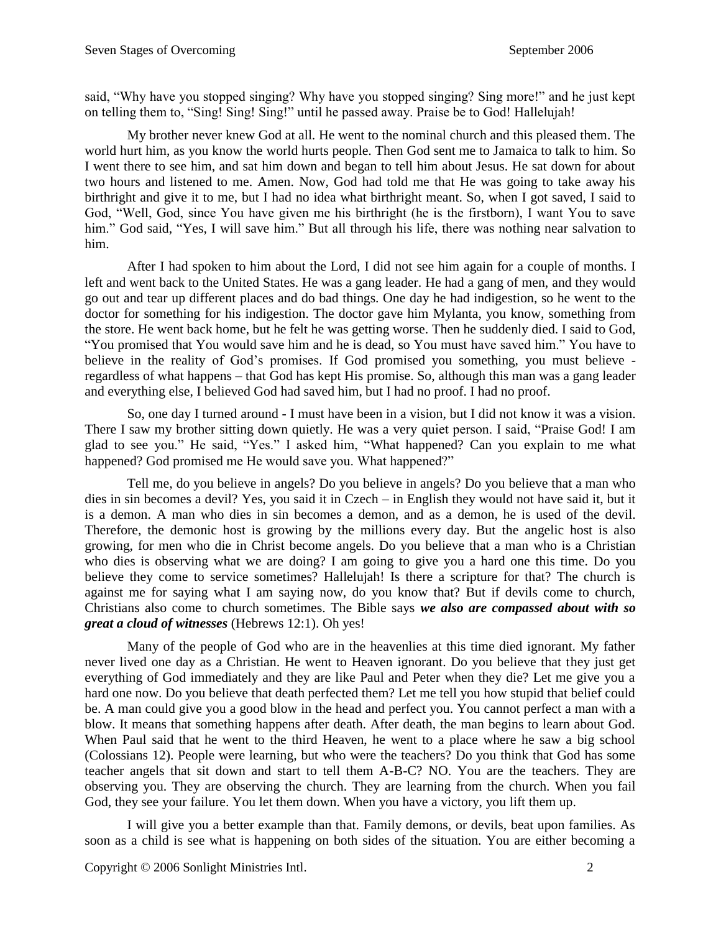said, "Why have you stopped singing? Why have you stopped singing? Sing more!" and he just kept on telling them to, "Sing! Sing! Sing!" until he passed away. Praise be to God! Hallelujah!

My brother never knew God at all. He went to the nominal church and this pleased them. The world hurt him, as you know the world hurts people. Then God sent me to Jamaica to talk to him. So I went there to see him, and sat him down and began to tell him about Jesus. He sat down for about two hours and listened to me. Amen. Now, God had told me that He was going to take away his birthright and give it to me, but I had no idea what birthright meant. So, when I got saved, I said to God, "Well, God, since You have given me his birthright (he is the firstborn), I want You to save him." God said, "Yes, I will save him." But all through his life, there was nothing near salvation to him.

After I had spoken to him about the Lord, I did not see him again for a couple of months. I left and went back to the United States. He was a gang leader. He had a gang of men, and they would go out and tear up different places and do bad things. One day he had indigestion, so he went to the doctor for something for his indigestion. The doctor gave him Mylanta, you know, something from the store. He went back home, but he felt he was getting worse. Then he suddenly died. I said to God, "You promised that You would save him and he is dead, so You must have saved him." You have to believe in the reality of God's promises. If God promised you something, you must believe regardless of what happens – that God has kept His promise. So, although this man was a gang leader and everything else, I believed God had saved him, but I had no proof. I had no proof.

So, one day I turned around - I must have been in a vision, but I did not know it was a vision. There I saw my brother sitting down quietly. He was a very quiet person. I said, "Praise God! I am glad to see you." He said, "Yes." I asked him, "What happened? Can you explain to me what happened? God promised me He would save you. What happened?"

Tell me, do you believe in angels? Do you believe in angels? Do you believe that a man who dies in sin becomes a devil? Yes, you said it in Czech – in English they would not have said it, but it is a demon. A man who dies in sin becomes a demon, and as a demon, he is used of the devil. Therefore, the demonic host is growing by the millions every day. But the angelic host is also growing, for men who die in Christ become angels. Do you believe that a man who is a Christian who dies is observing what we are doing? I am going to give you a hard one this time. Do you believe they come to service sometimes? Hallelujah! Is there a scripture for that? The church is against me for saying what I am saying now, do you know that? But if devils come to church, Christians also come to church sometimes. The Bible says *we also are compassed about with so great a cloud of witnesses* (Hebrews 12:1). Oh yes!

Many of the people of God who are in the heavenlies at this time died ignorant. My father never lived one day as a Christian. He went to Heaven ignorant. Do you believe that they just get everything of God immediately and they are like Paul and Peter when they die? Let me give you a hard one now. Do you believe that death perfected them? Let me tell you how stupid that belief could be. A man could give you a good blow in the head and perfect you. You cannot perfect a man with a blow. It means that something happens after death. After death, the man begins to learn about God. When Paul said that he went to the third Heaven, he went to a place where he saw a big school (Colossians 12). People were learning, but who were the teachers? Do you think that God has some teacher angels that sit down and start to tell them A-B-C? NO. You are the teachers. They are observing you. They are observing the church. They are learning from the church. When you fail God, they see your failure. You let them down. When you have a victory, you lift them up.

I will give you a better example than that. Family demons, or devils, beat upon families. As soon as a child is see what is happening on both sides of the situation. You are either becoming a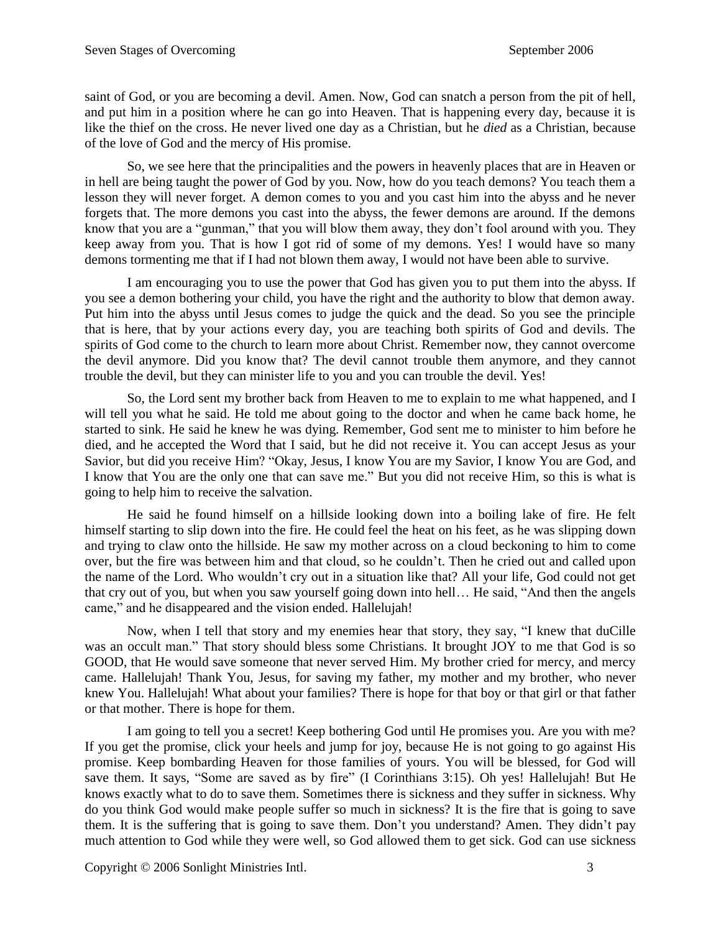saint of God, or you are becoming a devil. Amen. Now, God can snatch a person from the pit of hell, and put him in a position where he can go into Heaven. That is happening every day, because it is like the thief on the cross. He never lived one day as a Christian, but he *died* as a Christian, because of the love of God and the mercy of His promise.

So, we see here that the principalities and the powers in heavenly places that are in Heaven or in hell are being taught the power of God by you. Now, how do you teach demons? You teach them a lesson they will never forget. A demon comes to you and you cast him into the abyss and he never forgets that. The more demons you cast into the abyss, the fewer demons are around. If the demons know that you are a "gunman," that you will blow them away, they don't fool around with you. They keep away from you. That is how I got rid of some of my demons. Yes! I would have so many demons tormenting me that if I had not blown them away, I would not have been able to survive.

I am encouraging you to use the power that God has given you to put them into the abyss. If you see a demon bothering your child, you have the right and the authority to blow that demon away. Put him into the abyss until Jesus comes to judge the quick and the dead. So you see the principle that is here, that by your actions every day, you are teaching both spirits of God and devils. The spirits of God come to the church to learn more about Christ. Remember now, they cannot overcome the devil anymore. Did you know that? The devil cannot trouble them anymore, and they cannot trouble the devil, but they can minister life to you and you can trouble the devil. Yes!

So, the Lord sent my brother back from Heaven to me to explain to me what happened, and I will tell you what he said. He told me about going to the doctor and when he came back home, he started to sink. He said he knew he was dying. Remember, God sent me to minister to him before he died, and he accepted the Word that I said, but he did not receive it. You can accept Jesus as your Savior, but did you receive Him? "Okay, Jesus, I know You are my Savior, I know You are God, and I know that You are the only one that can save me." But you did not receive Him, so this is what is going to help him to receive the salvation.

He said he found himself on a hillside looking down into a boiling lake of fire. He felt himself starting to slip down into the fire. He could feel the heat on his feet, as he was slipping down and trying to claw onto the hillside. He saw my mother across on a cloud beckoning to him to come over, but the fire was between him and that cloud, so he couldn't. Then he cried out and called upon the name of the Lord. Who wouldn't cry out in a situation like that? All your life, God could not get that cry out of you, but when you saw yourself going down into hell… He said, "And then the angels came," and he disappeared and the vision ended. Hallelujah!

Now, when I tell that story and my enemies hear that story, they say, "I knew that duCille was an occult man." That story should bless some Christians. It brought JOY to me that God is so GOOD, that He would save someone that never served Him. My brother cried for mercy, and mercy came. Hallelujah! Thank You, Jesus, for saving my father, my mother and my brother, who never knew You. Hallelujah! What about your families? There is hope for that boy or that girl or that father or that mother. There is hope for them.

I am going to tell you a secret! Keep bothering God until He promises you. Are you with me? If you get the promise, click your heels and jump for joy, because He is not going to go against His promise. Keep bombarding Heaven for those families of yours. You will be blessed, for God will save them. It says, "Some are saved as by fire" (I Corinthians 3:15). Oh yes! Hallelujah! But He knows exactly what to do to save them. Sometimes there is sickness and they suffer in sickness. Why do you think God would make people suffer so much in sickness? It is the fire that is going to save them. It is the suffering that is going to save them. Don't you understand? Amen. They didn't pay much attention to God while they were well, so God allowed them to get sick. God can use sickness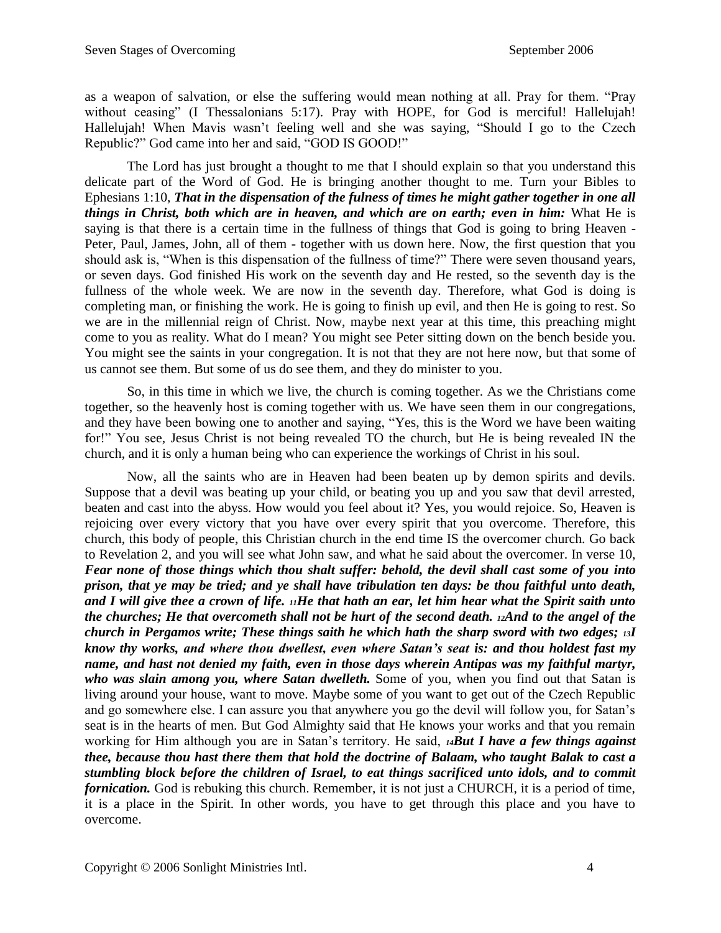as a weapon of salvation, or else the suffering would mean nothing at all. Pray for them. "Pray without ceasing" (I Thessalonians 5:17). Pray with HOPE, for God is merciful! Hallelujah! Hallelujah! When Mavis wasn't feeling well and she was saying, "Should I go to the Czech Republic?" God came into her and said, "GOD IS GOOD!"

The Lord has just brought a thought to me that I should explain so that you understand this delicate part of the Word of God. He is bringing another thought to me. Turn your Bibles to Ephesians 1:10, *That in the dispensation of the fulness of times he might gather together in one all things in Christ, both which are in heaven, and which are on earth; even in him:* What He is saying is that there is a certain time in the fullness of things that God is going to bring Heaven - Peter, Paul, James, John, all of them - together with us down here. Now, the first question that you should ask is, "When is this dispensation of the fullness of time?" There were seven thousand years, or seven days. God finished His work on the seventh day and He rested, so the seventh day is the fullness of the whole week. We are now in the seventh day. Therefore, what God is doing is completing man, or finishing the work. He is going to finish up evil, and then He is going to rest. So we are in the millennial reign of Christ. Now, maybe next year at this time, this preaching might come to you as reality. What do I mean? You might see Peter sitting down on the bench beside you. You might see the saints in your congregation. It is not that they are not here now, but that some of us cannot see them. But some of us do see them, and they do minister to you.

So, in this time in which we live, the church is coming together. As we the Christians come together, so the heavenly host is coming together with us. We have seen them in our congregations, and they have been bowing one to another and saying, "Yes, this is the Word we have been waiting for!" You see, Jesus Christ is not being revealed TO the church, but He is being revealed IN the church, and it is only a human being who can experience the workings of Christ in his soul.

Now, all the saints who are in Heaven had been beaten up by demon spirits and devils. Suppose that a devil was beating up your child, or beating you up and you saw that devil arrested, beaten and cast into the abyss. How would you feel about it? Yes, you would rejoice. So, Heaven is rejoicing over every victory that you have over every spirit that you overcome. Therefore, this church, this body of people, this Christian church in the end time IS the overcomer church. Go back to Revelation 2, and you will see what John saw, and what he said about the overcomer. In verse 10, *Fear none of those things which thou shalt suffer: behold, the devil shall cast some of you into prison, that ye may be tried; and ye shall have tribulation ten days: be thou faithful unto death, and I will give thee a crown of life. 11He that hath an ear, let him hear what the Spirit saith unto the churches; He that overcometh shall not be hurt of the second death. 12And to the angel of the church in Pergamos write; These things saith he which hath the sharp sword with two edges; 13I know thy works, and where thou dwellest, even where Satan's seat is: and thou holdest fast my name, and hast not denied my faith, even in those days wherein Antipas was my faithful martyr, who was slain among you, where Satan dwelleth.* Some of you, when you find out that Satan is living around your house, want to move. Maybe some of you want to get out of the Czech Republic and go somewhere else. I can assure you that anywhere you go the devil will follow you, for Satan's seat is in the hearts of men. But God Almighty said that He knows your works and that you remain working for Him although you are in Satan's territory. He said, *14But I have a few things against thee, because thou hast there them that hold the doctrine of Balaam, who taught Balak to cast a stumbling block before the children of Israel, to eat things sacrificed unto idols, and to commit fornication.* God is rebuking this church. Remember, it is not just a CHURCH, it is a period of time, it is a place in the Spirit. In other words, you have to get through this place and you have to overcome.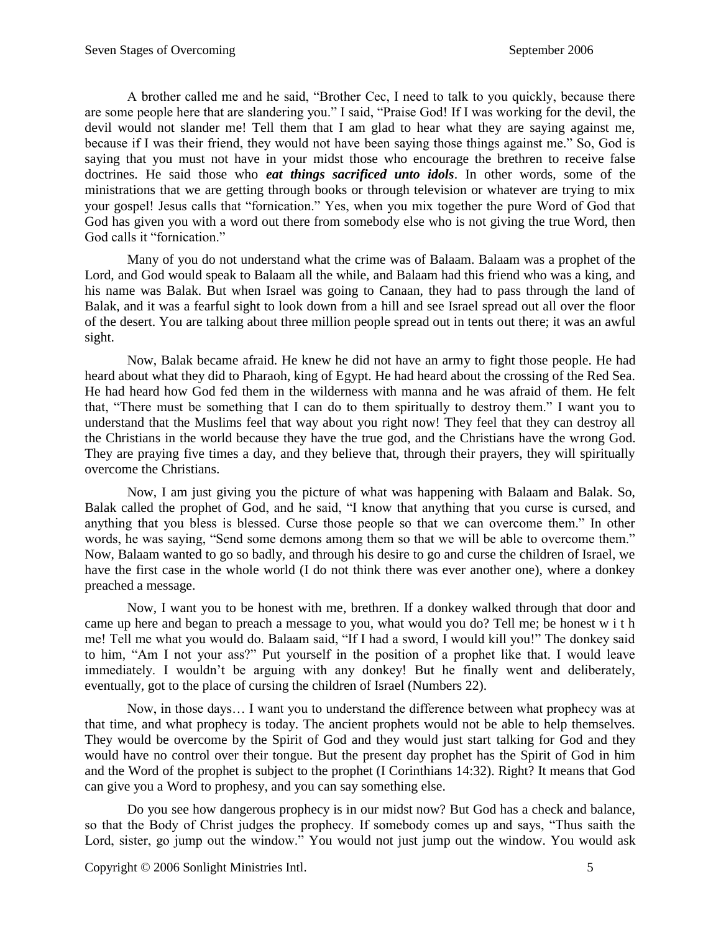A brother called me and he said, "Brother Cec, I need to talk to you quickly, because there are some people here that are slandering you." I said, "Praise God! If I was working for the devil, the devil would not slander me! Tell them that I am glad to hear what they are saying against me, because if I was their friend, they would not have been saying those things against me." So, God is saying that you must not have in your midst those who encourage the brethren to receive false doctrines. He said those who *eat things sacrificed unto idols*. In other words, some of the ministrations that we are getting through books or through television or whatever are trying to mix your gospel! Jesus calls that "fornication." Yes, when you mix together the pure Word of God that God has given you with a word out there from somebody else who is not giving the true Word, then God calls it "fornication."

Many of you do not understand what the crime was of Balaam. Balaam was a prophet of the Lord, and God would speak to Balaam all the while, and Balaam had this friend who was a king, and his name was Balak. But when Israel was going to Canaan, they had to pass through the land of Balak, and it was a fearful sight to look down from a hill and see Israel spread out all over the floor of the desert. You are talking about three million people spread out in tents out there; it was an awful sight.

Now, Balak became afraid. He knew he did not have an army to fight those people. He had heard about what they did to Pharaoh, king of Egypt. He had heard about the crossing of the Red Sea. He had heard how God fed them in the wilderness with manna and he was afraid of them. He felt that, "There must be something that I can do to them spiritually to destroy them." I want you to understand that the Muslims feel that way about you right now! They feel that they can destroy all the Christians in the world because they have the true god, and the Christians have the wrong God. They are praying five times a day, and they believe that, through their prayers, they will spiritually overcome the Christians.

Now, I am just giving you the picture of what was happening with Balaam and Balak. So, Balak called the prophet of God, and he said, "I know that anything that you curse is cursed, and anything that you bless is blessed. Curse those people so that we can overcome them." In other words, he was saying, "Send some demons among them so that we will be able to overcome them." Now, Balaam wanted to go so badly, and through his desire to go and curse the children of Israel, we have the first case in the whole world (I do not think there was ever another one), where a donkey preached a message.

Now, I want you to be honest with me, brethren. If a donkey walked through that door and came up here and began to preach a message to you, what would you do? Tell me; be honest w i t h me! Tell me what you would do. Balaam said, "If I had a sword, I would kill you!" The donkey said to him, "Am I not your ass?" Put yourself in the position of a prophet like that. I would leave immediately. I wouldn't be arguing with any donkey! But he finally went and deliberately, eventually, got to the place of cursing the children of Israel (Numbers 22).

Now, in those days… I want you to understand the difference between what prophecy was at that time, and what prophecy is today. The ancient prophets would not be able to help themselves. They would be overcome by the Spirit of God and they would just start talking for God and they would have no control over their tongue. But the present day prophet has the Spirit of God in him and the Word of the prophet is subject to the prophet (I Corinthians 14:32). Right? It means that God can give you a Word to prophesy, and you can say something else.

Do you see how dangerous prophecy is in our midst now? But God has a check and balance, so that the Body of Christ judges the prophecy. If somebody comes up and says, "Thus saith the Lord, sister, go jump out the window." You would not just jump out the window. You would ask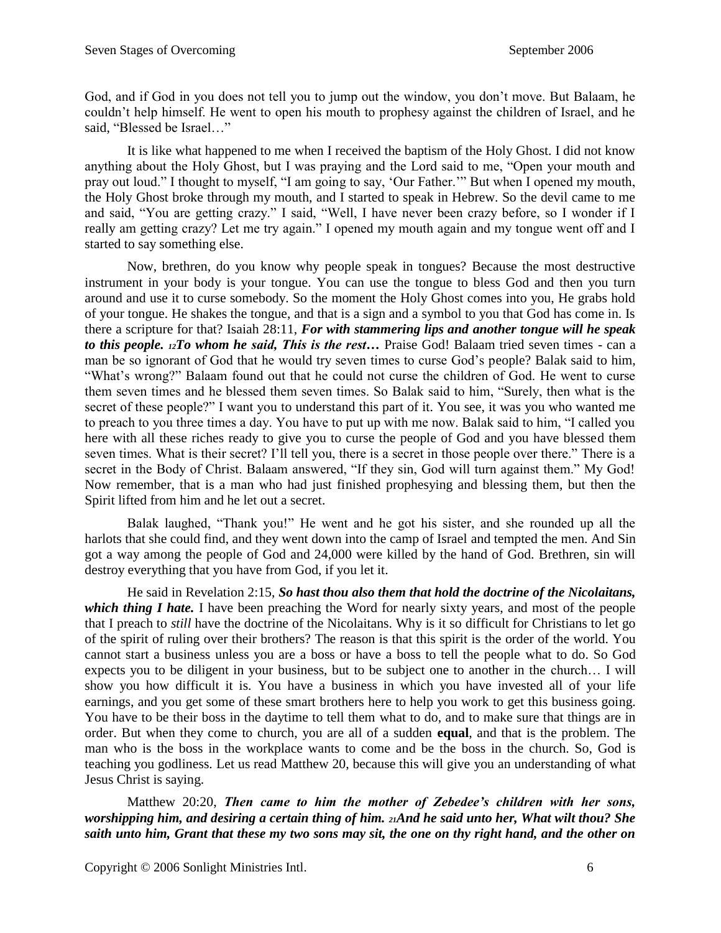God, and if God in you does not tell you to jump out the window, you don't move. But Balaam, he couldn't help himself. He went to open his mouth to prophesy against the children of Israel, and he said, "Blessed be Israel…"

It is like what happened to me when I received the baptism of the Holy Ghost. I did not know anything about the Holy Ghost, but I was praying and the Lord said to me, "Open your mouth and pray out loud." I thought to myself, "I am going to say, 'Our Father.'" But when I opened my mouth, the Holy Ghost broke through my mouth, and I started to speak in Hebrew. So the devil came to me and said, "You are getting crazy." I said, "Well, I have never been crazy before, so I wonder if I really am getting crazy? Let me try again." I opened my mouth again and my tongue went off and I started to say something else.

Now, brethren, do you know why people speak in tongues? Because the most destructive instrument in your body is your tongue. You can use the tongue to bless God and then you turn around and use it to curse somebody. So the moment the Holy Ghost comes into you, He grabs hold of your tongue. He shakes the tongue, and that is a sign and a symbol to you that God has come in. Is there a scripture for that? Isaiah 28:11, *For with stammering lips and another tongue will he speak to this people. 12To whom he said, This is the rest…* Praise God! Balaam tried seven times - can a man be so ignorant of God that he would try seven times to curse God's people? Balak said to him, "What's wrong?" Balaam found out that he could not curse the children of God. He went to curse them seven times and he blessed them seven times. So Balak said to him, "Surely, then what is the secret of these people?" I want you to understand this part of it. You see, it was you who wanted me to preach to you three times a day. You have to put up with me now. Balak said to him, "I called you here with all these riches ready to give you to curse the people of God and you have blessed them seven times. What is their secret? I'll tell you, there is a secret in those people over there." There is a secret in the Body of Christ. Balaam answered, "If they sin, God will turn against them." My God! Now remember, that is a man who had just finished prophesying and blessing them, but then the Spirit lifted from him and he let out a secret.

Balak laughed, "Thank you!" He went and he got his sister, and she rounded up all the harlots that she could find, and they went down into the camp of Israel and tempted the men. And Sin got a way among the people of God and 24,000 were killed by the hand of God. Brethren, sin will destroy everything that you have from God, if you let it.

He said in Revelation 2:15, *So hast thou also them that hold the doctrine of the Nicolaitans, which thing I hate.* I have been preaching the Word for nearly sixty years, and most of the people that I preach to *still* have the doctrine of the Nicolaitans. Why is it so difficult for Christians to let go of the spirit of ruling over their brothers? The reason is that this spirit is the order of the world. You cannot start a business unless you are a boss or have a boss to tell the people what to do. So God expects you to be diligent in your business, but to be subject one to another in the church… I will show you how difficult it is. You have a business in which you have invested all of your life earnings, and you get some of these smart brothers here to help you work to get this business going. You have to be their boss in the daytime to tell them what to do, and to make sure that things are in order. But when they come to church, you are all of a sudden **equal**, and that is the problem. The man who is the boss in the workplace wants to come and be the boss in the church. So, God is teaching you godliness. Let us read Matthew 20, because this will give you an understanding of what Jesus Christ is saying.

Matthew 20:20, *Then came to him the mother of Zebedee's children with her sons, worshipping him, and desiring a certain thing of him. 21And he said unto her, What wilt thou? She saith unto him, Grant that these my two sons may sit, the one on thy right hand, and the other on*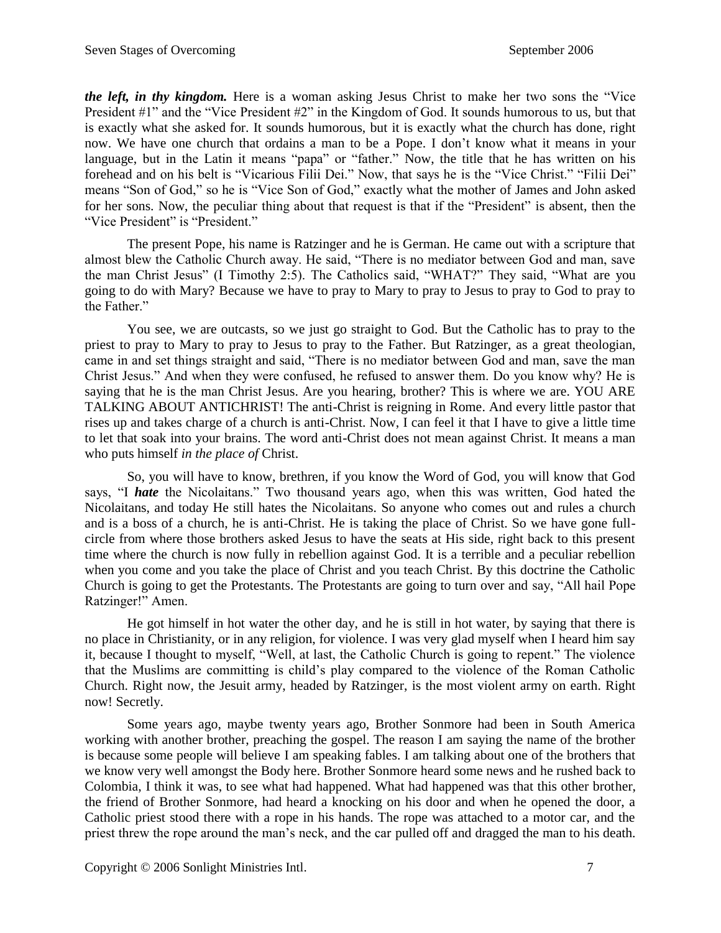*the left, in thy kingdom.* Here is a woman asking Jesus Christ to make her two sons the "Vice" President #1" and the "Vice President #2" in the Kingdom of God. It sounds humorous to us, but that is exactly what she asked for. It sounds humorous, but it is exactly what the church has done, right now. We have one church that ordains a man to be a Pope. I don't know what it means in your language, but in the Latin it means "papa" or "father." Now, the title that he has written on his forehead and on his belt is "Vicarious Filii Dei." Now, that says he is the "Vice Christ." "Filii Dei" means "Son of God," so he is "Vice Son of God," exactly what the mother of James and John asked for her sons. Now, the peculiar thing about that request is that if the "President" is absent, then the "Vice President" is "President."

The present Pope, his name is Ratzinger and he is German. He came out with a scripture that almost blew the Catholic Church away. He said, "There is no mediator between God and man, save the man Christ Jesus" (I Timothy 2:5). The Catholics said, "WHAT?" They said, "What are you going to do with Mary? Because we have to pray to Mary to pray to Jesus to pray to God to pray to the Father."

You see, we are outcasts, so we just go straight to God. But the Catholic has to pray to the priest to pray to Mary to pray to Jesus to pray to the Father. But Ratzinger, as a great theologian, came in and set things straight and said, "There is no mediator between God and man, save the man Christ Jesus." And when they were confused, he refused to answer them. Do you know why? He is saying that he is the man Christ Jesus. Are you hearing, brother? This is where we are. YOU ARE TALKING ABOUT ANTICHRIST! The anti-Christ is reigning in Rome. And every little pastor that rises up and takes charge of a church is anti-Christ. Now, I can feel it that I have to give a little time to let that soak into your brains. The word anti-Christ does not mean against Christ. It means a man who puts himself *in the place of* Christ.

So, you will have to know, brethren, if you know the Word of God, you will know that God says, "I *hate* the Nicolaitans." Two thousand years ago, when this was written, God hated the Nicolaitans, and today He still hates the Nicolaitans. So anyone who comes out and rules a church and is a boss of a church, he is anti-Christ. He is taking the place of Christ. So we have gone fullcircle from where those brothers asked Jesus to have the seats at His side, right back to this present time where the church is now fully in rebellion against God. It is a terrible and a peculiar rebellion when you come and you take the place of Christ and you teach Christ. By this doctrine the Catholic Church is going to get the Protestants. The Protestants are going to turn over and say, "All hail Pope Ratzinger!" Amen.

He got himself in hot water the other day, and he is still in hot water, by saying that there is no place in Christianity, or in any religion, for violence. I was very glad myself when I heard him say it, because I thought to myself, "Well, at last, the Catholic Church is going to repent." The violence that the Muslims are committing is child's play compared to the violence of the Roman Catholic Church. Right now, the Jesuit army, headed by Ratzinger, is the most violent army on earth. Right now! Secretly.

Some years ago, maybe twenty years ago, Brother Sonmore had been in South America working with another brother, preaching the gospel. The reason I am saying the name of the brother is because some people will believe I am speaking fables. I am talking about one of the brothers that we know very well amongst the Body here. Brother Sonmore heard some news and he rushed back to Colombia, I think it was, to see what had happened. What had happened was that this other brother, the friend of Brother Sonmore, had heard a knocking on his door and when he opened the door, a Catholic priest stood there with a rope in his hands. The rope was attached to a motor car, and the priest threw the rope around the man's neck, and the car pulled off and dragged the man to his death.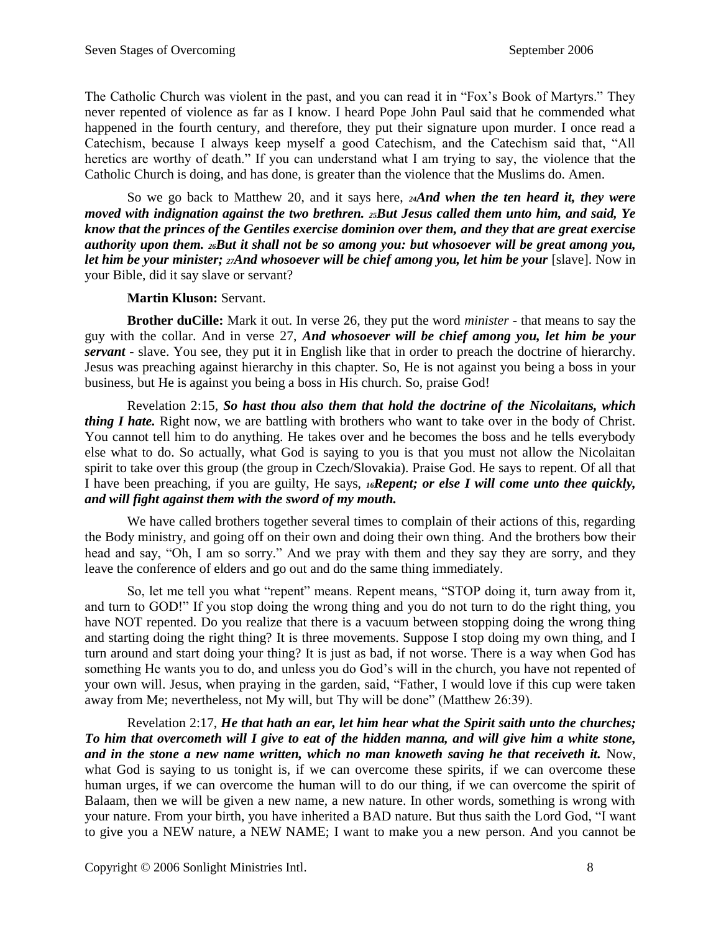The Catholic Church was violent in the past, and you can read it in "Fox's Book of Martyrs." They never repented of violence as far as I know. I heard Pope John Paul said that he commended what happened in the fourth century, and therefore, they put their signature upon murder. I once read a Catechism, because I always keep myself a good Catechism, and the Catechism said that, "All heretics are worthy of death." If you can understand what I am trying to say, the violence that the Catholic Church is doing, and has done, is greater than the violence that the Muslims do. Amen.

So we go back to Matthew 20, and it says here, *24And when the ten heard it, they were moved with indignation against the two brethren. 25But Jesus called them unto him, and said, Ye know that the princes of the Gentiles exercise dominion over them, and they that are great exercise authority upon them. <sup>26</sup>But it shall not be so among you: but whosoever will be great among you, let him be your minister; 27And whosoever will be chief among you, let him be your* [slave]. Now in your Bible, did it say slave or servant?

## **Martin Kluson:** Servant.

**Brother duCille:** Mark it out. In verse 26, they put the word *minister* - that means to say the guy with the collar. And in verse 27, *And whosoever will be chief among you, let him be your servant* - slave. You see, they put it in English like that in order to preach the doctrine of hierarchy. Jesus was preaching against hierarchy in this chapter. So, He is not against you being a boss in your business, but He is against you being a boss in His church. So, praise God!

Revelation 2:15, *So hast thou also them that hold the doctrine of the Nicolaitans, which thing I hate.* Right now, we are battling with brothers who want to take over in the body of Christ. You cannot tell him to do anything. He takes over and he becomes the boss and he tells everybody else what to do. So actually, what God is saying to you is that you must not allow the Nicolaitan spirit to take over this group (the group in Czech/Slovakia). Praise God. He says to repent. Of all that I have been preaching, if you are guilty, He says, *16Repent; or else I will come unto thee quickly, and will fight against them with the sword of my mouth.*

We have called brothers together several times to complain of their actions of this, regarding the Body ministry, and going off on their own and doing their own thing. And the brothers bow their head and say, "Oh, I am so sorry." And we pray with them and they say they are sorry, and they leave the conference of elders and go out and do the same thing immediately.

So, let me tell you what "repent" means. Repent means, "STOP doing it, turn away from it, and turn to GOD!" If you stop doing the wrong thing and you do not turn to do the right thing, you have NOT repented. Do you realize that there is a vacuum between stopping doing the wrong thing and starting doing the right thing? It is three movements. Suppose I stop doing my own thing, and I turn around and start doing your thing? It is just as bad, if not worse. There is a way when God has something He wants you to do, and unless you do God's will in the church, you have not repented of your own will. Jesus, when praying in the garden, said, "Father, I would love if this cup were taken away from Me; nevertheless, not My will, but Thy will be done" (Matthew 26:39).

Revelation 2:17, *He that hath an ear, let him hear what the Spirit saith unto the churches; To him that overcometh will I give to eat of the hidden manna, and will give him a white stone,*  and in the stone a new name written, which no man knoweth saving he that receiveth it. Now, what God is saying to us tonight is, if we can overcome these spirits, if we can overcome these human urges, if we can overcome the human will to do our thing, if we can overcome the spirit of Balaam, then we will be given a new name, a new nature. In other words, something is wrong with your nature. From your birth, you have inherited a BAD nature. But thus saith the Lord God, "I want to give you a NEW nature, a NEW NAME; I want to make you a new person. And you cannot be